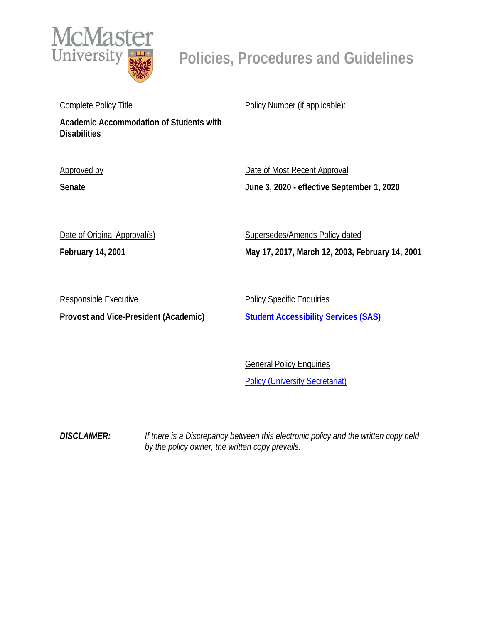

# **Policies, Procedures and Guidelines**

Complete Policy Title

**Academic Accommodation of Students with Disabilities**

Approved by

**Senate**

Policy Number (if applicable):

Date of Most Recent Approval **June 3, 2020 - effective September 1, 2020**

| Date of Original Approval(s) |
|------------------------------|
|------------------------------|

**February 14, 2001**

Supersedes/Amends Policy dated **May 17, 2017, March 12, 2003, February 14, 2001**

Responsible Executive **Provost and Vice-President (Academic)**

**Policy Specific Enquiries [Student Accessibility Services \(SAS\)](mailto:sas@mcmaster.ca)**

General Policy Enquiries **[Policy \(University Secretariat\)](mailto:policy@mcmaster.ca?subject=%20Inquiry)** 

*DISCLAIMER: If there is a Discrepancy between this electronic policy and the written copy held by the policy owner, the written copy prevails.*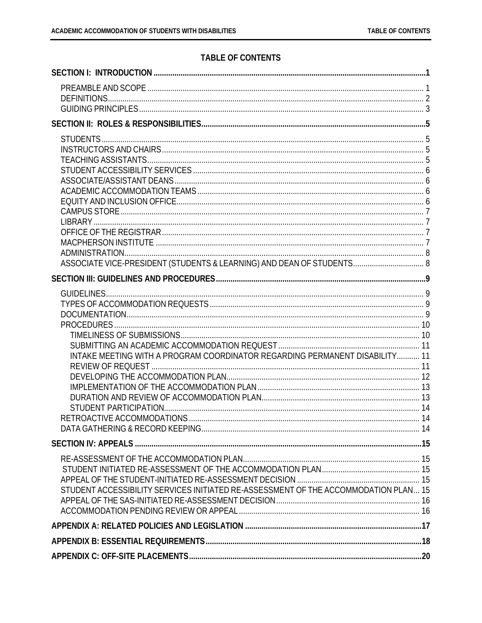## **TABLE OF CONTENTS**

| ASSOCIATE VICE-PRESIDENT (STUDENTS & LEARNING) AND DEAN OF STUDENTS 8               |  |
|-------------------------------------------------------------------------------------|--|
|                                                                                     |  |
|                                                                                     |  |
|                                                                                     |  |
|                                                                                     |  |
|                                                                                     |  |
|                                                                                     |  |
|                                                                                     |  |
| INTAKE MEETING WITH A PROGRAM COORDINATOR REGARDING PERMANENT DISABILITY 11         |  |
|                                                                                     |  |
|                                                                                     |  |
|                                                                                     |  |
|                                                                                     |  |
|                                                                                     |  |
|                                                                                     |  |
|                                                                                     |  |
|                                                                                     |  |
|                                                                                     |  |
|                                                                                     |  |
|                                                                                     |  |
| STUDENT ACCESSIBILITY SERVICES INITIATED RE-ASSESSMENT OF THE ACCOMMODATION PLAN 15 |  |
|                                                                                     |  |
|                                                                                     |  |
|                                                                                     |  |
|                                                                                     |  |
|                                                                                     |  |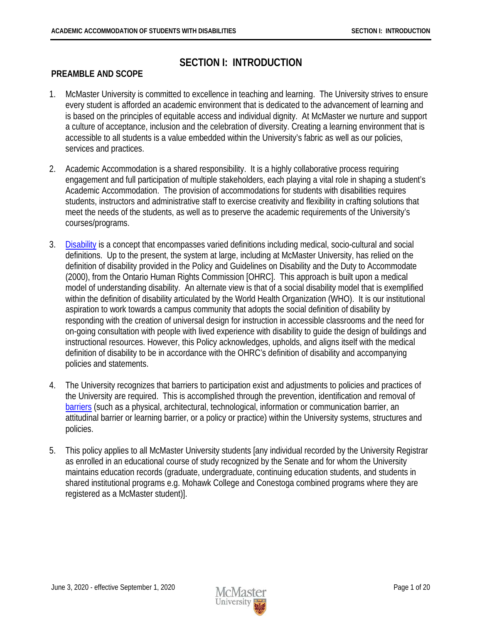# **SECTION I: INTRODUCTION**

#### <span id="page-2-1"></span><span id="page-2-0"></span>**PREAMBLE AND SCOPE**

- 1. McMaster University is committed to excellence in teaching and learning. The University strives to ensure every student is afforded an academic environment that is dedicated to the advancement of learning and is based on the principles of equitable access and individual dignity. At McMaster we nurture and support a culture of acceptance, inclusion and the celebration of diversity. Creating a learning environment that is accessible to all students is a value embedded within the University's fabric as well as our policies, services and practices.
- 2. Academic Accommodation is a shared responsibility. It is a highly collaborative process requiring engagement and full participation of multiple stakeholders, each playing a vital role in shaping a student's Academic Accommodation. The provision of accommodations for students with disabilities requires students, instructors and administrative staff to exercise creativity and flexibility in crafting solutions that meet the needs of the students, as well as to preserve the academic requirements of the University's courses/programs.
- 3. [Disability](#page-3-1) is a concept that encompasses varied definitions including medical, socio-cultural and social definitions. Up to the present, the system at large, including at McMaster University, has relied on the definition of disability provided in the Policy and Guidelines on Disability and the Duty to Accommodate (2000), from the Ontario Human Rights Commission [OHRC]. This approach is built upon a medical model of understanding disability. An alternate view is that of a social disability model that is exemplified within the definition of disability articulated by the World Health Organization (WHO). It is our institutional aspiration to work towards a campus community that adopts the social definition of disability by responding with the creation of universal design for instruction in accessible classrooms and the need for on-going consultation with people with lived experience with disability to guide the design of buildings and instructional resources. However, this Policy acknowledges, upholds, and aligns itself with the medical definition of disability to be in accordance with the OHRC's definition of disability and accompanying policies and statements.
- 4. The University recognizes that barriers to participation exist and adjustments to policies and practices of the University are required. This is accomplished through the prevention, identification and removal of [barriers](#page-4-1) (such as a physical, architectural, technological, information or communication barrier, an attitudinal barrier or learning barrier, or a policy or practice) within the University systems, structures and policies.
- 5. This policy applies to all McMaster University students [any individual recorded by the University Registrar as enrolled in an educational course of study recognized by the Senate and for whom the University maintains education records (graduate, undergraduate, continuing education students, and students in shared institutional programs e.g. Mohawk College and Conestoga combined programs where they are registered as a McMaster student)].

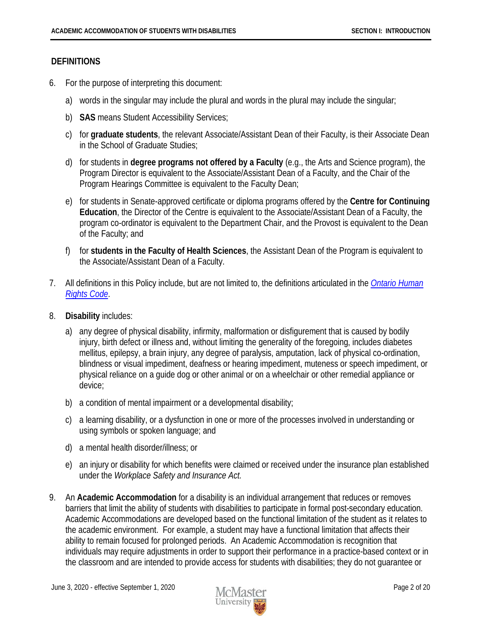#### <span id="page-3-0"></span>**DEFINITIONS**

- 6. For the purpose of interpreting this document:
	- a) words in the singular may include the plural and words in the plural may include the singular;
	- b) **SAS** means Student Accessibility Services;
	- c) for **graduate students**, the relevant Associate/Assistant Dean of their Faculty, is their Associate Dean in the School of Graduate Studies;
	- d) for students in **degree programs not offered by a Faculty** (e.g., the Arts and Science program), the Program Director is equivalent to the Associate/Assistant Dean of a Faculty, and the Chair of the Program Hearings Committee is equivalent to the Faculty Dean;
	- e) for students in Senate-approved certificate or diploma programs offered by the **Centre for Continuing Education**, the Director of the Centre is equivalent to the Associate/Assistant Dean of a Faculty, the program co-ordinator is equivalent to the Department Chair, and the Provost is equivalent to the Dean of the Faculty; and
	- f) for **students in the Faculty of Health Sciences**, the Assistant Dean of the Program is equivalent to the Associate/Assistant Dean of a Faculty.
- 7. All definitions in this Policy include, but are not limited to, the definitions articulated in the *[Ontario Human](http://www.ohrc.on.ca/en/ontario-human-rights-code)  [Rights Code](http://www.ohrc.on.ca/en/ontario-human-rights-code)*.
- <span id="page-3-1"></span>8. **Disability** includes:
	- a) any degree of physical disability, infirmity, malformation or disfigurement that is caused by bodily injury, birth defect or illness and, without limiting the generality of the foregoing, includes diabetes mellitus, epilepsy, a brain injury, any degree of paralysis, amputation, lack of physical co-ordination, blindness or visual impediment, deafness or hearing impediment, muteness or speech impediment, or physical reliance on a guide dog or other animal or on a wheelchair or other remedial appliance or device;
	- b) a condition of mental impairment or a developmental disability;
	- c) a learning disability, or a dysfunction in one or more of the processes involved in understanding or using symbols or spoken language; and
	- d) a mental health disorder/illness; or
	- e) an injury or disability for which benefits were claimed or received under the insurance plan established under the *Workplace Safety and Insurance Act.*
- 9. An **Academic Accommodation** for a disability is an individual arrangement that reduces or removes barriers that limit the ability of students with disabilities to participate in formal post-secondary education. Academic Accommodations are developed based on the functional limitation of the student as it relates to the academic environment. For example, a student may have a functional limitation that affects their ability to remain focused for prolonged periods. An Academic Accommodation is recognition that individuals may require adjustments in order to support their performance in a practice-based context or in the classroom and are intended to provide access for students with disabilities; they do not guarantee or

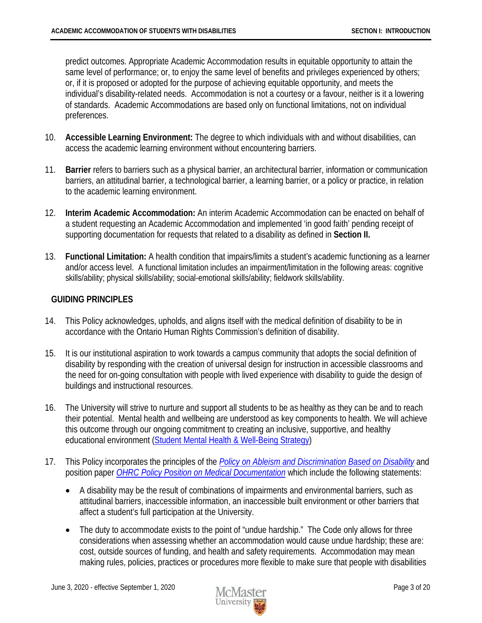predict outcomes. Appropriate Academic Accommodation results in equitable opportunity to attain the same level of performance; or, to enjoy the same level of benefits and privileges experienced by others; or, if it is proposed or adopted for the purpose of achieving equitable opportunity, and meets the individual's disability-related needs. Accommodation is not a courtesy or a favour, neither is it a lowering of standards. Academic Accommodations are based only on functional limitations, not on individual preferences.

- 10. **Accessible Learning Environment:** The degree to which individuals with and without disabilities, can access the academic learning environment without encountering barriers.
- <span id="page-4-1"></span>11. **Barrier** refers to barriers such as a physical barrier, an architectural barrier, information or communication barriers, an attitudinal barrier, a technological barrier, a learning barrier, or a policy or practice, in relation to the academic learning environment.
- 12. **Interim Academic Accommodation:** An interim Academic Accommodation can be enacted on behalf of a student requesting an Academic Accommodation and implemented 'in good faith' pending receipt of supporting documentation for requests that related to a disability as defined in **Section II.**
- 13. **Functional Limitation:** A health condition that impairs/limits a student's academic functioning as a learner and/or access level. A functional limitation includes an impairment/limitation in the following areas: cognitive skills/ability; physical skills/ability; social-emotional skills/ability; fieldwork skills/ability.

#### <span id="page-4-0"></span>**GUIDING PRINCIPLES**

- 14. This Policy acknowledges, upholds, and aligns itself with the medical definition of disability to be in accordance with the Ontario Human Rights Commission's definition of disability.
- 15. It is our institutional aspiration to work towards a campus community that adopts the social definition of disability by responding with the creation of universal design for instruction in accessible classrooms and the need for on-going consultation with people with lived experience with disability to guide the design of buildings and instructional resources.
- 16. The University will strive to nurture and support all students to be as healthy as they can be and to reach their potential. Mental health and wellbeing are understood as key components to health. We will achieve this outcome through our ongoing commitment to creating an inclusive, supportive, and healthy educational environment [\(Student Mental Health & Well-Being Strategy\)](http://mentalhealthstrategy.mcmaster.ca/)
- 17. This Policy incorporates the principles of the *[Policy on Ableism and Discrimination Based on Disability](http://www.ohrc.on.ca/en/policy-ableism-and-discrimination-based-disability)* and position paper *[OHRC Policy Position on Medical Documentation](http://ohrc.on.ca/en/ohrc-policy-position-medical-documentation-be-provided-when-disability-related-accommodation-request#overlay-context=en/news_centre/ohrc-calls-end-sexualized-workplace-dress-codes-discriminate)* which include the following statements:
	- A disability may be the result of combinations of impairments and environmental barriers, such as attitudinal barriers, inaccessible information, an inaccessible built environment or other barriers that affect a student's full participation at the University.
	- The duty to accommodate exists to the point of "undue hardship." The Code only allows for three considerations when assessing whether an accommodation would cause undue hardship; these are: cost, outside sources of funding, and health and safety requirements. Accommodation may mean making rules, policies, practices or procedures more flexible to make sure that people with disabilities

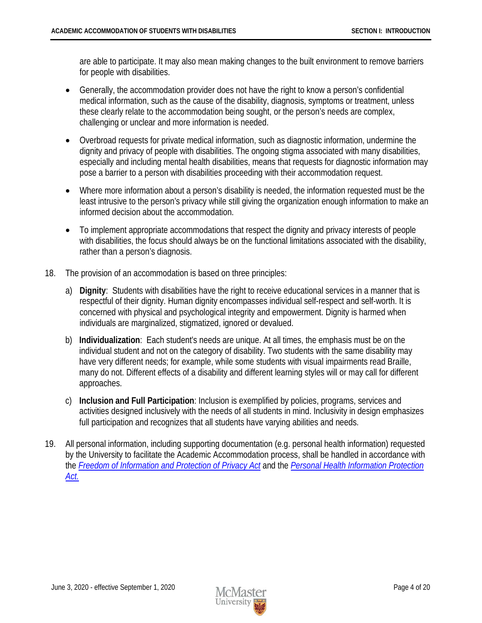are able to participate. It may also mean making changes to the built environment to remove barriers for people with disabilities.

- Generally, the accommodation provider does not have the right to know a person's confidential medical information, such as the cause of the disability, diagnosis, symptoms or treatment, unless these clearly relate to the accommodation being sought, or the person's needs are complex, challenging or unclear and more information is needed.
- Overbroad requests for private medical information, such as diagnostic information, undermine the dignity and privacy of people with disabilities. The ongoing stigma associated with many disabilities, especially and including mental health disabilities, means that requests for diagnostic information may pose a barrier to a person with disabilities proceeding with their accommodation request.
- Where more information about a person's disability is needed, the information requested must be the least intrusive to the person's privacy while still giving the organization enough information to make an informed decision about the accommodation.
- To implement appropriate accommodations that respect the dignity and privacy interests of people with disabilities, the focus should always be on the functional limitations associated with the disability, rather than a person's diagnosis.
- 18. The provision of an accommodation is based on three principles:
	- a) **Dignity**: Students with disabilities have the right to receive educational services in a manner that is respectful of their dignity. Human dignity encompasses individual self-respect and self-worth. It is concerned with physical and psychological integrity and empowerment. Dignity is harmed when individuals are marginalized, stigmatized, ignored or devalued.
	- b) **Individualization**: Each student's needs are unique. At all times, the emphasis must be on the individual student and not on the category of disability. Two students with the same disability may have very different needs; for example, while some students with visual impairments read Braille, many do not. Different effects of a disability and different learning styles will or may call for different approaches.
	- c) **Inclusion and Full Participation**: Inclusion is exemplified by policies, programs, services and activities designed inclusively with the needs of all students in mind. Inclusivity in design emphasizes full participation and recognizes that all students have varying abilities and needs.
- 19. All personal information, including supporting documentation (e.g. personal health information) requested by the University to facilitate the Academic Accommodation process, shall be handled in accordance with the *[Freedom of Information and Protection of Privacy Act](http://www.e-laws.gov.on.ca/html/statutes/english/elaws_statutes_90f31_e.htm)* and the *[Personal Health Information Protection](http://www.e-laws.gov.on.ca/html/statutes/english/elaws_statutes_04p03_e.htm)  [Act.](http://www.e-laws.gov.on.ca/html/statutes/english/elaws_statutes_04p03_e.htm)*

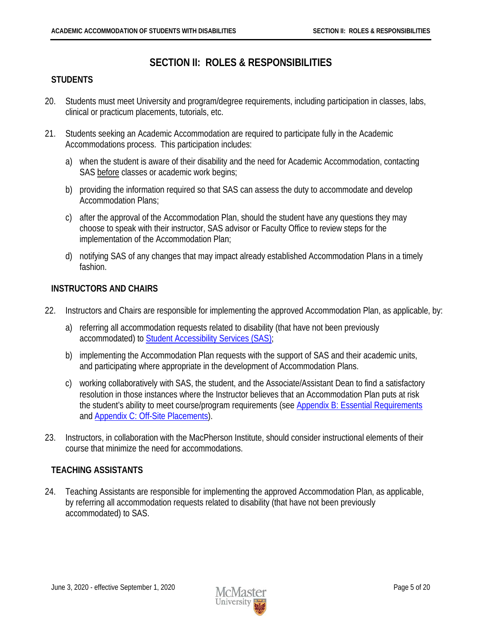# **SECTION II: ROLES & RESPONSIBILITIES**

## <span id="page-6-1"></span><span id="page-6-0"></span>**STUDENTS**

- 20. Students must meet University and program/degree requirements, including participation in classes, labs, clinical or practicum placements, tutorials, etc.
- 21. Students seeking an Academic Accommodation are required to participate fully in the Academic Accommodations process. This participation includes:
	- a) when the student is aware of their disability and the need for Academic Accommodation, contacting SAS before classes or academic work begins;
	- b) providing the information required so that SAS can assess the duty to accommodate and develop Accommodation Plans;
	- c) after the approval of the Accommodation Plan, should the student have any questions they may choose to speak with their instructor, SAS advisor or Faculty Office to review steps for the implementation of the Accommodation Plan;
	- d) notifying SAS of any changes that may impact already established Accommodation Plans in a timely fashion.

#### <span id="page-6-2"></span>**INSTRUCTORS AND CHAIRS**

- 22. Instructors and Chairs are responsible for implementing the approved Accommodation Plan, as applicable, by:
	- a) referring all accommodation requests related to disability (that have not been previously accommodated) to [Student Accessibility Services \(SAS\);](https://sas.mcmaster.ca/)
	- b) implementing the Accommodation Plan requests with the support of SAS and their academic units, and participating where appropriate in the development of Accommodation Plans.
	- c) working collaboratively with SAS, the student, and the Associate/Assistant Dean to find a satisfactory resolution in those instances where the Instructor believes that an Accommodation Plan puts at risk the student's ability to meet course/program requirements (see [Appendix B: Essential Requirements](#page-19-0) and Appendix C: [Off-Site Placements\)](#page-21-0).
- 23. Instructors, in collaboration with the MacPherson Institute, should consider instructional elements of their course that minimize the need for accommodations.

#### <span id="page-6-3"></span>**TEACHING ASSISTANTS**

24. Teaching Assistants are responsible for implementing the approved Accommodation Plan, as applicable, by referring all accommodation requests related to disability (that have not been previously accommodated) to SAS.

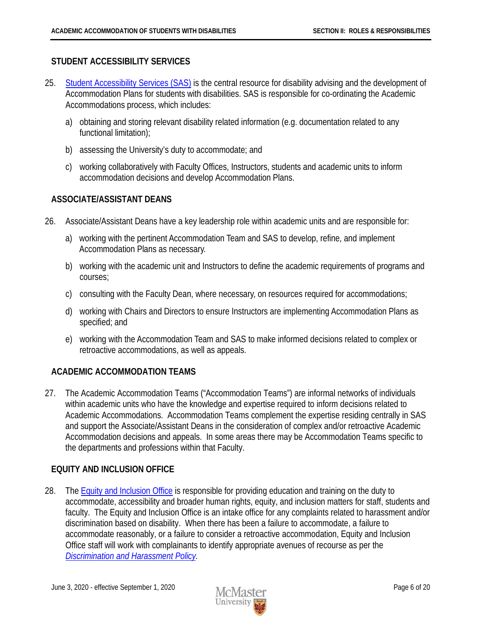#### <span id="page-7-0"></span>**STUDENT ACCESSIBILITY SERVICES**

- 25. [Student Accessibility Services \(SAS\)](https://sas.mcmaster.ca/) is the central resource for disability advising and the development of Accommodation Plans for students with disabilities. SAS is responsible for co-ordinating the Academic Accommodations process, which includes:
	- a) obtaining and storing relevant disability related information (e.g. documentation related to any functional limitation);
	- b) assessing the University's duty to accommodate; and
	- c) working collaboratively with Faculty Offices, Instructors, students and academic units to inform accommodation decisions and develop Accommodation Plans.

#### <span id="page-7-1"></span>**ASSOCIATE/ASSISTANT DEANS**

- 26. Associate/Assistant Deans have a key leadership role within academic units and are responsible for:
	- a) working with the pertinent Accommodation Team and SAS to develop, refine, and implement Accommodation Plans as necessary.
	- b) working with the academic unit and Instructors to define the academic requirements of programs and courses;
	- c) consulting with the Faculty Dean, where necessary, on resources required for accommodations;
	- d) working with Chairs and Directors to ensure Instructors are implementing Accommodation Plans as specified; and
	- e) working with the Accommodation Team and SAS to make informed decisions related to complex or retroactive accommodations, as well as appeals.

## <span id="page-7-2"></span>**ACADEMIC ACCOMMODATION TEAMS**

27. The Academic Accommodation Teams ("Accommodation Teams") are informal networks of individuals within academic units who have the knowledge and expertise required to inform decisions related to Academic Accommodations. Accommodation Teams complement the expertise residing centrally in SAS and support the Associate/Assistant Deans in the consideration of complex and/or retroactive Academic Accommodation decisions and appeals. In some areas there may be Accommodation Teams specific to the departments and professions within that Faculty.

#### <span id="page-7-3"></span>**EQUITY AND INCLUSION OFFICE**

28. The [Equity and Inclusion Office](http://hres.mcmaster.ca/) is responsible for providing education and training on the duty to accommodate, accessibility and broader human rights, equity, and inclusion matters for staff, students and faculty. The Equity and Inclusion Office is an intake office for any complaints related to harassment and/or discrimination based on disability. When there has been a failure to accommodate, a failure to accommodate reasonably, or a failure to consider a retroactive accommodation, Equity and Inclusion Office staff will work with complainants to identify appropriate avenues of recourse as per the *Discrimination and [Harassment Policy.](https://secretariat.mcmaster.ca/app/uploads/Discrimination-and-Harassment-Policy.pdf)*

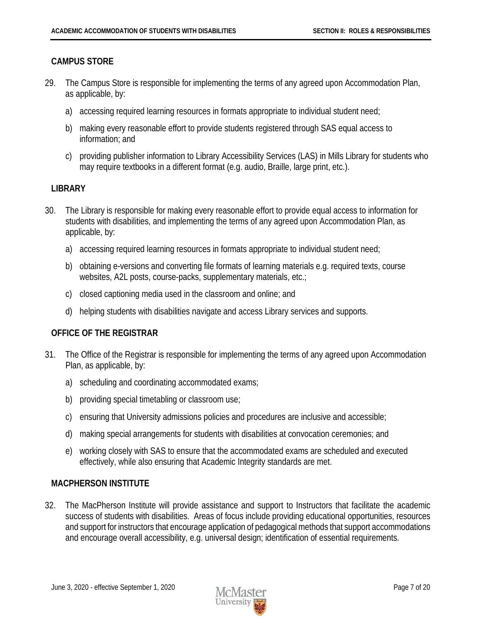#### <span id="page-8-0"></span>**CAMPUS STORE**

- 29. The Campus Store is responsible for implementing the terms of any agreed upon Accommodation Plan, as applicable, by:
	- a) accessing required learning resources in formats appropriate to individual student need;
	- b) making every reasonable effort to provide students registered through SAS equal access to information; and
	- c) providing publisher information to Library Accessibility Services (LAS) in Mills Library for students who may require textbooks in a different format (e.g. audio, Braille, large print, etc.).

#### <span id="page-8-1"></span>**LIBRARY**

- 30. The Library is responsible for making every reasonable effort to provide equal access to information for students with disabilities, and implementing the terms of any agreed upon Accommodation Plan, as applicable, by:
	- a) accessing required learning resources in formats appropriate to individual student need;
	- b) obtaining e-versions and converting file formats of learning materials e.g. required texts, course websites, A2L posts, course-packs, supplementary materials, etc.;
	- c) closed captioning media used in the classroom and online; and
	- d) helping students with disabilities navigate and access Library services and supports.

#### <span id="page-8-2"></span>**OFFICE OF THE REGISTRAR**

- 31. The Office of the Registrar is responsible for implementing the terms of any agreed upon Accommodation Plan, as applicable, by:
	- a) scheduling and coordinating accommodated exams;
	- b) providing special timetabling or classroom use;
	- c) ensuring that University admissions policies and procedures are inclusive and accessible;
	- d) making special arrangements for students with disabilities at convocation ceremonies; and
	- e) working closely with SAS to ensure that the accommodated exams are scheduled and executed effectively, while also ensuring that Academic Integrity standards are met.

#### <span id="page-8-3"></span>**MACPHERSON INSTITUTE**

32. The MacPherson Institute will provide assistance and support to Instructors that facilitate the academic success of students with disabilities. Areas of focus include providing educational opportunities, resources and support for instructors that encourage application of pedagogical methods that support accommodations and encourage overall accessibility, e.g. universal design; identification of essential requirements.

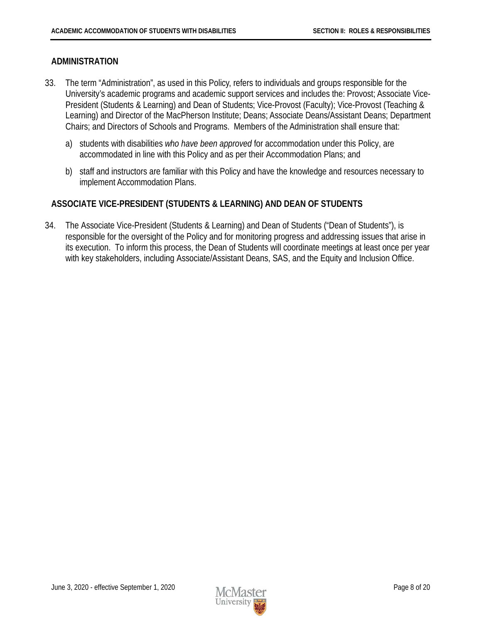#### <span id="page-9-0"></span>**ADMINISTRATION**

- 33. The term "Administration", as used in this Policy, refers to individuals and groups responsible for the University's academic programs and academic support services and includes the: Provost; Associate Vice-President (Students & Learning) and Dean of Students; Vice-Provost (Faculty); Vice-Provost (Teaching & Learning) and Director of the MacPherson Institute; Deans; Associate Deans/Assistant Deans; Department Chairs; and Directors of Schools and Programs. Members of the Administration shall ensure that:
	- a) students with disabilities *who have been approved* for accommodation under this Policy, are accommodated in line with this Policy and as per their Accommodation Plans; and
	- b) staff and instructors are familiar with this Policy and have the knowledge and resources necessary to implement Accommodation Plans.

#### <span id="page-9-1"></span>**ASSOCIATE VICE-PRESIDENT (STUDENTS & LEARNING) AND DEAN OF STUDENTS**

34. The Associate Vice-President (Students & Learning) and Dean of Students ("Dean of Students"), is responsible for the oversight of the Policy and for monitoring progress and addressing issues that arise in its execution. To inform this process, the Dean of Students will coordinate meetings at least once per year with key stakeholders, including Associate/Assistant Deans, SAS, and the Equity and Inclusion Office.

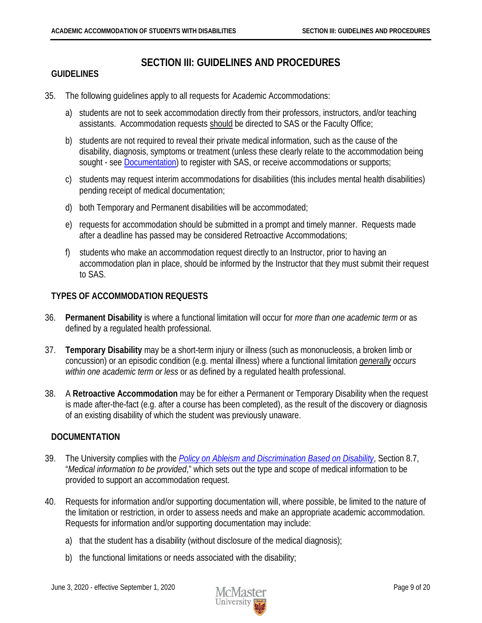## **SECTION III: GUIDELINES AND PROCEDURES**

#### <span id="page-10-1"></span><span id="page-10-0"></span>**GUIDELINES**

- 35. The following guidelines apply to all requests for Academic Accommodations:
	- a) students are not to seek accommodation directly from their professors, instructors, and/or teaching assistants. Accommodation requests should be directed to SAS or the Faculty Office;
	- b) students are not required to reveal their private medical information, such as the cause of the disability, diagnosis, symptoms or treatment (unless these clearly relate to the accommodation being sought - see **Documentation**) to register with SAS, or receive accommodations or supports;
	- c) students may request interim accommodations for disabilities (this includes mental health disabilities) pending receipt of medical documentation;
	- d) both Temporary and Permanent disabilities will be accommodated;
	- e) requests for accommodation should be submitted in a prompt and timely manner. Requests made after a deadline has passed may be considered Retroactive Accommodations;
	- f) students who make an accommodation request directly to an Instructor, prior to having an accommodation plan in place, should be informed by the Instructor that they must submit their request to SAS.

#### <span id="page-10-2"></span>**TYPES OF ACCOMMODATION REQUESTS**

- 36. **Permanent Disability** is where a functional limitation will occur for *more than one academic term o*r as defined by a regulated health professional.
- 37. **Temporary Disability** may be a short-term injury or illness (such as mononucleosis, a broken limb or concussion) or an episodic condition (e.g. mental illness) where a functional limitation *generally occurs within one academic term or less* or as defined by a regulated health professional.
- 38. A **Retroactive Accommodation** may be for either a Permanent or Temporary Disability when the request is made after-the-fact (e.g. after a course has been completed), as the result of the discovery or diagnosis of an existing disability of which the student was previously unaware.

#### <span id="page-10-3"></span>**DOCUMENTATION**

- 39. The University complies with the *[Policy on Ableism and Discrimination Based on Disability](http://www.ohrc.on.ca/en/policy-ableism-and-discrimination-based-disability)*, Section 8.7, "*Medical information to be provided*," which sets out the type and scope of medical information to be provided to support an accommodation request.
- 40. Requests for information and/or supporting documentation will, where possible, be limited to the nature of the limitation or restriction, in order to assess needs and make an appropriate academic accommodation. Requests for information and/or supporting documentation may include:
	- a) that the student has a disability (without disclosure of the medical diagnosis);
	- b) the functional limitations or needs associated with the disability;

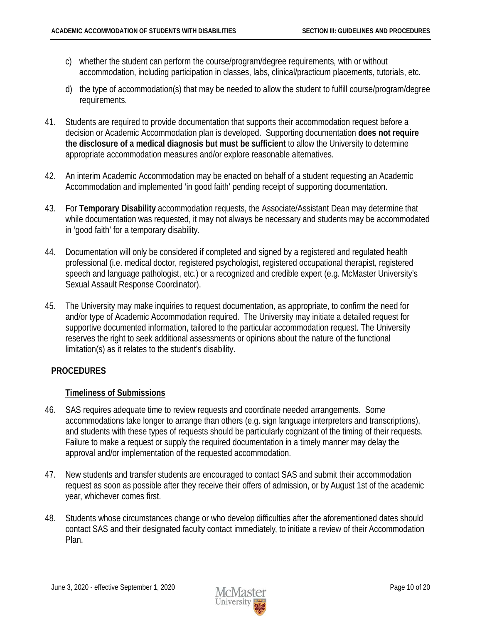- c) whether the student can perform the course/program/degree requirements, with or without accommodation, including participation in classes, labs, clinical/practicum placements, tutorials, etc.
- d) the type of accommodation(s) that may be needed to allow the student to fulfill course/program/degree requirements.
- 41. Students are required to provide documentation that supports their accommodation request before a decision or Academic Accommodation plan is developed. Supporting documentation **does not require the disclosure of a medical diagnosis but must be sufficient** to allow the University to determine appropriate accommodation measures and/or explore reasonable alternatives.
- 42. An interim Academic Accommodation may be enacted on behalf of a student requesting an Academic Accommodation and implemented 'in good faith' pending receipt of supporting documentation.
- 43. For **Temporary Disability** accommodation requests, the Associate/Assistant Dean may determine that while documentation was requested, it may not always be necessary and students may be accommodated in 'good faith' for a temporary disability.
- 44. Documentation will only be considered if completed and signed by a registered and regulated health professional (i.e. medical doctor, registered psychologist, registered occupational therapist, registered speech and language pathologist, etc.) or a recognized and credible expert (e.g. McMaster University's Sexual Assault Response Coordinator).
- 45. The University may make inquiries to request documentation, as appropriate, to confirm the need for and/or type of Academic Accommodation required. The University may initiate a detailed request for supportive documented information, tailored to the particular accommodation request. The University reserves the right to seek additional assessments or opinions about the nature of the functional limitation(s) as it relates to the student's disability.

## <span id="page-11-0"></span>**PROCEDURES**

#### <span id="page-11-1"></span>**Timeliness of Submissions**

- 46. SAS requires adequate time to review requests and coordinate needed arrangements. Some accommodations take longer to arrange than others (e.g. sign language interpreters and transcriptions), and students with these types of requests should be particularly cognizant of the timing of their requests. Failure to make a request or supply the required documentation in a timely manner may delay the approval and/or implementation of the requested accommodation.
- 47. New students and transfer students are encouraged to contact SAS and submit their accommodation request as soon as possible after they receive their offers of admission, or by August 1st of the academic year, whichever comes first.
- 48. Students whose circumstances change or who develop difficulties after the aforementioned dates should contact SAS and their designated faculty contact immediately, to initiate a review of their Accommodation Plan.

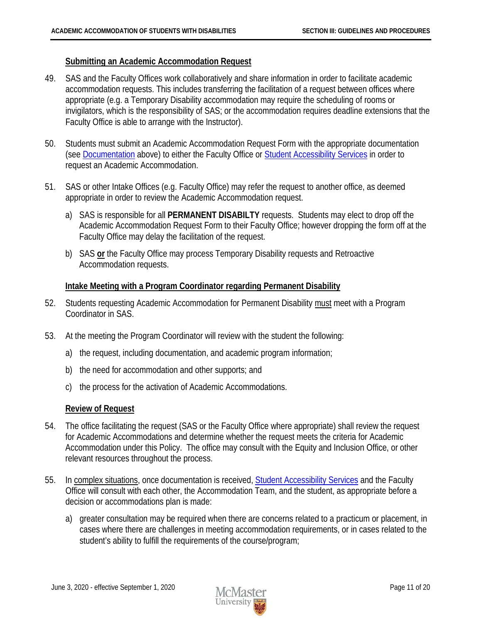#### <span id="page-12-0"></span>**Submitting an Academic Accommodation Request**

- 49. SAS and the Faculty Offices work collaboratively and share information in order to facilitate academic accommodation requests. This includes transferring the facilitation of a request between offices where appropriate (e.g. a Temporary Disability accommodation may require the scheduling of rooms or invigilators, which is the responsibility of SAS; or the accommodation requires deadline extensions that the Faculty Office is able to arrange with the Instructor).
- 50. Students must submit an Academic Accommodation Request Form with the appropriate documentation (see **Documentation** above) to either the Faculty Office or **[Student Accessibility Services](https://sas.mcmaster.ca/)** in order to request an Academic Accommodation.
- 51. SAS or other Intake Offices (e.g. Faculty Office) may refer the request to another office, as deemed appropriate in order to review the Academic Accommodation request.
	- a) SAS is responsible for all **PERMANENT DISABILTY** requests. Students may elect to drop off the Academic Accommodation Request Form to their Faculty Office; however dropping the form off at the Faculty Office may delay the facilitation of the request.
	- b) SAS **or** the Faculty Office may process Temporary Disability requests and Retroactive Accommodation requests.

#### <span id="page-12-1"></span>**Intake Meeting with a Program Coordinator regarding Permanent Disability**

- 52. Students requesting Academic Accommodation for Permanent Disability must meet with a Program Coordinator in SAS.
- 53. At the meeting the Program Coordinator will review with the student the following:
	- a) the request, including documentation, and academic program information;
	- b) the need for accommodation and other supports; and
	- c) the process for the activation of Academic Accommodations.

#### <span id="page-12-2"></span>**Review of Request**

- 54. The office facilitating the request (SAS or the Faculty Office where appropriate) shall review the request for Academic Accommodations and determine whether the request meets the criteria for Academic Accommodation under this Policy. The office may consult with the Equity and Inclusion Office, or other relevant resources throughout the process.
- 55. In complex situations, once documentation is received, [Student Accessibility Services](https://sas.mcmaster.ca/) and the Faculty Office will consult with each other, the Accommodation Team, and the student, as appropriate before a decision or accommodations plan is made:
	- a) greater consultation may be required when there are concerns related to a practicum or placement, in cases where there are challenges in meeting accommodation requirements, or in cases related to the student's ability to fulfill the requirements of the course/program;

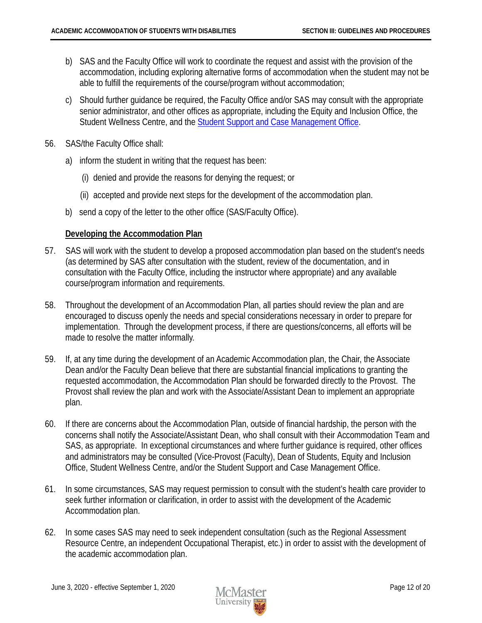- b) SAS and the Faculty Office will work to coordinate the request and assist with the provision of the accommodation, including exploring alternative forms of accommodation when the student may not be able to fulfill the requirements of the course/program without accommodation;
- c) Should further guidance be required, the Faculty Office and/or SAS may consult with the appropriate senior administrator, and other offices as appropriate, including the Equity and Inclusion Office, the Student Wellness Centre, and the [Student Support and Case Management Office.](http://studentconduct.mcmaster.ca/)
- 56. SAS/the Faculty Office shall:
	- a) inform the student in writing that the request has been:
		- (i) denied and provide the reasons for denying the request; or
		- (ii) accepted and provide next steps for the development of the accommodation plan.
	- b) send a copy of the letter to the other office (SAS/Faculty Office).

#### <span id="page-13-0"></span>**Developing the Accommodation Plan**

- 57. SAS will work with the student to develop a proposed accommodation plan based on the student's needs (as determined by SAS after consultation with the student, review of the documentation, and in consultation with the Faculty Office, including the instructor where appropriate) and any available course/program information and requirements.
- 58. Throughout the development of an Accommodation Plan, all parties should review the plan and are encouraged to discuss openly the needs and special considerations necessary in order to prepare for implementation. Through the development process, if there are questions/concerns, all efforts will be made to resolve the matter informally.
- 59. If, at any time during the development of an Academic Accommodation plan, the Chair, the Associate Dean and/or the Faculty Dean believe that there are substantial financial implications to granting the requested accommodation, the Accommodation Plan should be forwarded directly to the Provost. The Provost shall review the plan and work with the Associate/Assistant Dean to implement an appropriate plan.
- 60. If there are concerns about the Accommodation Plan, outside of financial hardship, the person with the concerns shall notify the Associate/Assistant Dean, who shall consult with their Accommodation Team and SAS, as appropriate. In exceptional circumstances and where further guidance is required, other offices and administrators may be consulted (Vice-Provost (Faculty), Dean of Students, Equity and Inclusion Office, Student Wellness Centre, and/or the Student Support and Case Management Office.
- 61. In some circumstances, SAS may request permission to consult with the student's health care provider to seek further information or clarification, in order to assist with the development of the Academic Accommodation plan.
- 62. In some cases SAS may need to seek independent consultation (such as the Regional Assessment Resource Centre, an independent Occupational Therapist, etc.) in order to assist with the development of the academic accommodation plan.

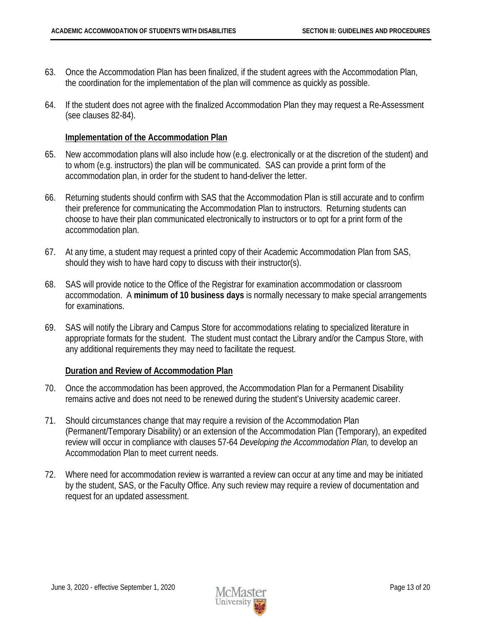- 63. Once the Accommodation Plan has been finalized, if the student agrees with the Accommodation Plan, the coordination for the implementation of the plan will commence as quickly as possible.
- 64. If the student does not agree with the finalized Accommodation Plan they may request a Re-Assessment (see clauses 82-84).

#### <span id="page-14-0"></span>**Implementation of the Accommodation Plan**

- 65. New accommodation plans will also include how (e.g. electronically or at the discretion of the student) and to whom (e.g. instructors) the plan will be communicated. SAS can provide a print form of the accommodation plan, in order for the student to hand-deliver the letter.
- 66. Returning students should confirm with SAS that the Accommodation Plan is still accurate and to confirm their preference for communicating the Accommodation Plan to instructors. Returning students can choose to have their plan communicated electronically to instructors or to opt for a print form of the accommodation plan.
- 67. At any time, a student may request a printed copy of their Academic Accommodation Plan from SAS, should they wish to have hard copy to discuss with their instructor(s).
- 68. SAS will provide notice to the Office of the Registrar for examination accommodation or classroom accommodation. A **minimum of 10 business days** is normally necessary to make special arrangements for examinations.
- 69. SAS will notify the Library and Campus Store for accommodations relating to specialized literature in appropriate formats for the student. The student must contact the Library and/or the Campus Store, with any additional requirements they may need to facilitate the request.

#### <span id="page-14-1"></span>**Duration and Review of Accommodation Plan**

- 70. Once the accommodation has been approved, the Accommodation Plan for a Permanent Disability remains active and does not need to be renewed during the student's University academic career.
- 71. Should circumstances change that may require a revision of the Accommodation Plan (Permanent/Temporary Disability) or an extension of the Accommodation Plan (Temporary), an expedited review will occur in compliance with clauses 57-64 *Developing the Accommodation Plan,* to develop an Accommodation Plan to meet current needs.
- 72. Where need for accommodation review is warranted a review can occur at any time and may be initiated by the student, SAS, or the Faculty Office. Any such review may require a review of documentation and request for an updated assessment.

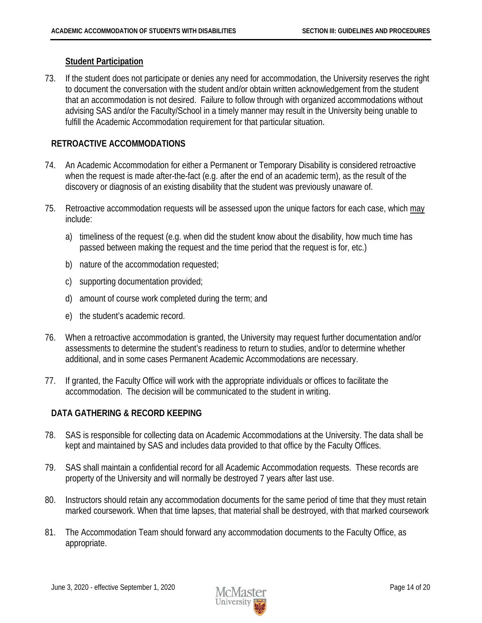#### <span id="page-15-0"></span>**Student Participation**

73. If the student does not participate or denies any need for accommodation, the University reserves the right to document the conversation with the student and/or obtain written acknowledgement from the student that an accommodation is not desired. Failure to follow through with organized accommodations without advising SAS and/or the Faculty/School in a timely manner may result in the University being unable to fulfill the Academic Accommodation requirement for that particular situation.

#### <span id="page-15-1"></span>**RETROACTIVE ACCOMMODATIONS**

- 74. An Academic Accommodation for either a Permanent or Temporary Disability is considered retroactive when the request is made after-the-fact (e.g. after the end of an academic term), as the result of the discovery or diagnosis of an existing disability that the student was previously unaware of.
- 75. Retroactive accommodation requests will be assessed upon the unique factors for each case, which may include:
	- a) timeliness of the request (e.g. when did the student know about the disability, how much time has passed between making the request and the time period that the request is for, etc.)
	- b) nature of the accommodation requested;
	- c) supporting documentation provided;
	- d) amount of course work completed during the term; and
	- e) the student's academic record.
- 76. When a retroactive accommodation is granted, the University may request further documentation and/or assessments to determine the student's readiness to return to studies, and/or to determine whether additional, and in some cases Permanent Academic Accommodations are necessary.
- 77. If granted, the Faculty Office will work with the appropriate individuals or offices to facilitate the accommodation. The decision will be communicated to the student in writing.

#### <span id="page-15-2"></span>**DATA GATHERING & RECORD KEEPING**

- 78. SAS is responsible for collecting data on Academic Accommodations at the University. The data shall be kept and maintained by SAS and includes data provided to that office by the Faculty Offices.
- 79. SAS shall maintain a confidential record for all Academic Accommodation requests. These records are property of the University and will normally be destroyed 7 years after last use.
- 80. Instructors should retain any accommodation documents for the same period of time that they must retain marked coursework. When that time lapses, that material shall be destroyed, with that marked coursework
- 81. The Accommodation Team should forward any accommodation documents to the Faculty Office, as appropriate.

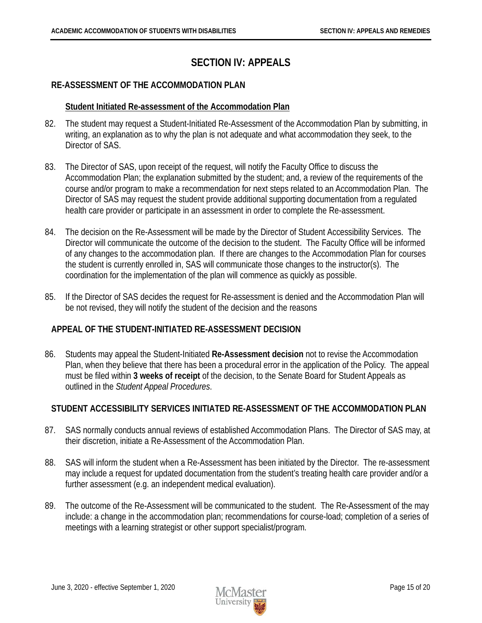# **SECTION IV: APPEALS**

## <span id="page-16-1"></span><span id="page-16-0"></span>**RE-ASSESSMENT OF THE ACCOMMODATION PLAN**

#### <span id="page-16-2"></span>**Student Initiated Re-assessment of the Accommodation Plan**

- 82. The student may request a Student-Initiated Re-Assessment of the Accommodation Plan by submitting, in writing, an explanation as to why the plan is not adequate and what accommodation they seek, to the Director of SAS.
- 83. The Director of SAS, upon receipt of the request, will notify the Faculty Office to discuss the Accommodation Plan; the explanation submitted by the student; and, a review of the requirements of the course and/or program to make a recommendation for next steps related to an Accommodation Plan. The Director of SAS may request the student provide additional supporting documentation from a regulated health care provider or participate in an assessment in order to complete the Re-assessment.
- 84. The decision on the Re-Assessment will be made by the Director of Student Accessibility Services. The Director will communicate the outcome of the decision to the student. The Faculty Office will be informed of any changes to the accommodation plan. If there are changes to the Accommodation Plan for courses the student is currently enrolled in, SAS will communicate those changes to the instructor(s). The coordination for the implementation of the plan will commence as quickly as possible.
- 85. If the Director of SAS decides the request for Re-assessment is denied and the Accommodation Plan will be not revised, they will notify the student of the decision and the reasons

## <span id="page-16-3"></span>**APPEAL OF THE STUDENT-INITIATED RE-ASSESSMENT DECISION**

86. Students may appeal the Student-Initiated **Re-Assessment decision** not to revise the Accommodation Plan, when they believe that there has been a procedural error in the application of the Policy. The appeal must be filed within **3 weeks of receipt** of the decision, to the Senate Board for Student Appeals as outlined in the *Student Appeal Procedures*.

## <span id="page-16-4"></span>**STUDENT ACCESSIBILITY SERVICES INITIATED RE-ASSESSMENT OF THE ACCOMMODATION PLAN**

- 87. SAS normally conducts annual reviews of established Accommodation Plans. The Director of SAS may, at their discretion, initiate a Re-Assessment of the Accommodation Plan.
- 88. SAS will inform the student when a Re-Assessment has been initiated by the Director. The re-assessment may include a request for updated documentation from the student's treating health care provider and/or a further assessment (e.g. an independent medical evaluation).
- 89. The outcome of the Re-Assessment will be communicated to the student. The Re-Assessment of the may include: a change in the accommodation plan; recommendations for course-load; completion of a series of meetings with a learning strategist or other support specialist/program.

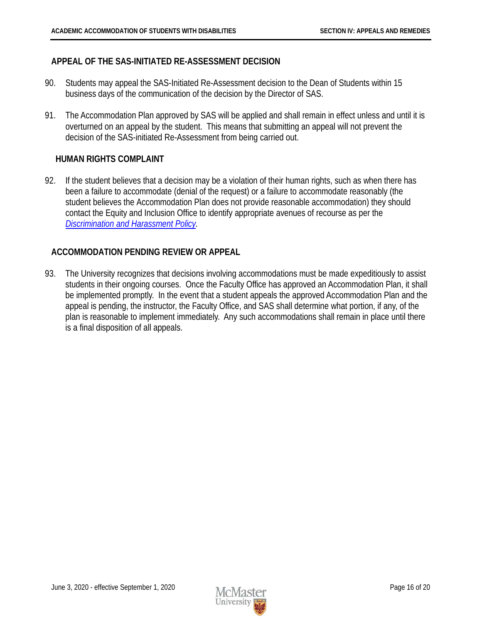#### <span id="page-17-0"></span>**APPEAL OF THE SAS-INITIATED RE-ASSESSMENT DECISION**

- 90. Students may appeal the SAS-Initiated Re-Assessment decision to the Dean of Students within 15 business days of the communication of the decision by the Director of SAS.
- 91. The Accommodation Plan approved by SAS will be applied and shall remain in effect unless and until it is overturned on an appeal by the student. This means that submitting an appeal will not prevent the decision of the SAS-initiated Re-Assessment from being carried out.

#### **HUMAN RIGHTS COMPLAINT**

92. If the student believes that a decision may be a violation of their human rights, such as when there has been a failure to accommodate (denial of the request) or a failure to accommodate reasonably (the student believes the Accommodation Plan does not provide reasonable accommodation) they should contact the Equity and Inclusion Office to identify appropriate avenues of recourse as per the *[Discrimination and Harassment Policy.](https://secretariat.mcmaster.ca/app/uploads/Discrimination-and-Harassment-Policy.pdf)*

#### <span id="page-17-1"></span>**ACCOMMODATION PENDING REVIEW OR APPEAL**

93. The University recognizes that decisions involving accommodations must be made expeditiously to assist students in their ongoing courses. Once the Faculty Office has approved an Accommodation Plan, it shall be implemented promptly. In the event that a student appeals the approved Accommodation Plan and the appeal is pending, the instructor, the Faculty Office, and SAS shall determine what portion, if any, of the plan is reasonable to implement immediately. Any such accommodations shall remain in place until there is a final disposition of all appeals.

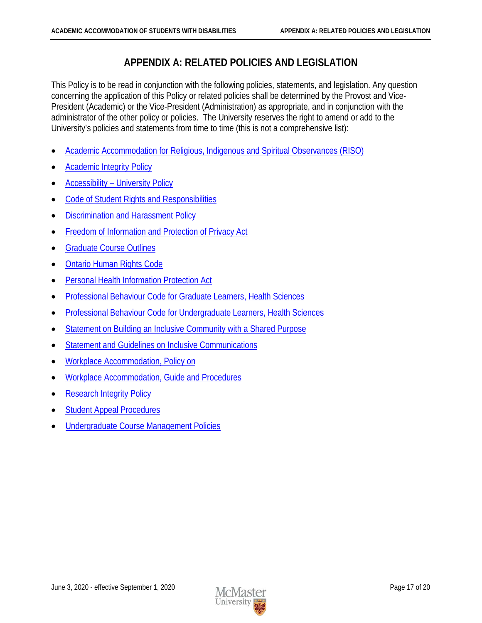# **APPENDIX A: RELATED POLICIES AND LEGISLATION**

<span id="page-18-0"></span>This Policy is to be read in conjunction with the following policies, statements, and legislation. Any question concerning the application of this Policy or related policies shall be determined by the Provost and Vice-President (Academic) or the Vice-President (Administration) as appropriate, and in conjunction with the administrator of the other policy or policies. The University reserves the right to amend or add to the University's policies and statements from time to time (this is not a comprehensive list):

- [Academic Accommodation for Religious, Indigenous and Spiritual Observances \(RISO\)](https://secretariat.mcmaster.ca/app/uploads/2019/02/Academic-Accommodation-for-Religious-Indigenous-and-Spiritual-Observances-Policy-on.pdf)
- [Academic Integrity Policy](https://secretariat.mcmaster.ca/app/uploads/Academic-Integrity-Policy-.pdf)
- Accessibility [University Policy](https://secretariat.mcmaster.ca/app/uploads/2019/05/Accessibility.pdf)
- [Code of Student Rights and Responsibilities](https://secretariat.mcmaster.ca/app/uploads/2019/02/Code-of-Student-Rights-and-Responsibilities.pdf)
- [Discrimination and Harassment Policy](https://secretariat.mcmaster.ca/app/uploads/Discrimination-and-Harassment-Policy.pdf)
- [Freedom of Information and Protection of Privacy Act](http://www.e-laws.gov.on.ca/html/statutes/english/elaws_statutes_90f31_e.htm)
- [Graduate Course](https://secretariat.mcmaster.ca/app/uploads/2019/06/GraduateCourseOutlines.pdf) Outlines
- [Ontario Human Rights Code](http://www.e-laws.gov.on.ca/html/statutes/english/elaws_statutes_90h19_e.htm)
- [Personal Health Information Protection Act](http://www.e-laws.gov.on.ca/html/statutes/english/elaws_statutes_04p03_e.htm)
- [Professional Behaviour Code for Graduate Learners, Health Sciences](https://secretariat.mcmaster.ca/app/uploads/2019/06/Professional-Behaviour-Code-for-Graduate-Learners-Health-Sciences.pdf)
- [Professional Behaviour Code for Undergraduate Learners, Health Sciences](https://secretariat.mcmaster.ca/app/uploads/2019/06/Professional-Behaviour-Code-for-Undergraduate-Learners-Health-Sciences.pdf)
- [Statement on Building an Inclusive Community with a Shared Purpose](http://www.mcmaster.ca/policy/General/HR/Statement-Inclusivity.pdf)
- [Statement and Guidelines on Inclusive Communications](https://secretariat.mcmaster.ca/app/uploads/2019/06/Statement-on-Inclusive-Communications.pdf)
- [Workplace Accommodation, Policy on](https://secretariat.mcmaster.ca/app/uploads/2019/05/Workplace-Accommodation-Policy-2015.pdf)
- [Workplace Accommodation, Guide and Procedures](https://secretariat.mcmaster.ca/app/uploads/2019/05/Workplace-Accommodation-Procedures-2015.pdf)
- [Research Integrity Policy](https://secretariat.mcmaster.ca/app/uploads/Research-Integrity-Policy.pdf)
- **[Student Appeal Procedures](https://secretariat.mcmaster.ca/app/uploads/2018/09/Student_Appeal_Procedures.pdf)**
- [Undergraduate Course Management Policies](https://secretariat.mcmaster.ca/app/uploads/2019/06/Undergraduate-Course-Management-Policy.pdf)

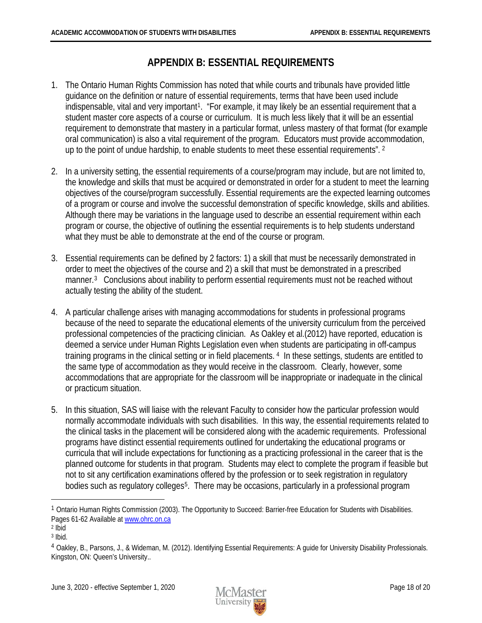# **APPENDIX B: ESSENTIAL REQUIREMENTS**

- <span id="page-19-0"></span>1. The Ontario Human Rights Commission has noted that while courts and tribunals have provided little guidance on the definition or nature of essential requirements, terms that have been used include indispensable, vital and very important<sup>1</sup>. "For example, it may likely be an essential requirement that a student master core aspects of a course or curriculum. It is much less likely that it will be an essential requirement to demonstrate that mastery in a particular format, unless mastery of that format (for example oral communication) is also a vital requirement of the program. Educators must provide accommodation, up to the point of undue hardship, to enable students to meet these essential requirements". [2](#page-19-2)
- 2. In a university setting, the essential requirements of a course/program may include, but are not limited to, the knowledge and skills that must be acquired or demonstrated in order for a student to meet the learning objectives of the course/program successfully. Essential requirements are the expected learning outcomes of a program or course and involve the successful demonstration of specific knowledge, skills and abilities. Although there may be variations in the language used to describe an essential requirement within each program or course, the objective of outlining the essential requirements is to help students understand what they must be able to demonstrate at the end of the course or program.
- 3. Essential requirements can be defined by 2 factors: 1) a skill that must be necessarily demonstrated in order to meet the objectives of the course and 2) a skill that must be demonstrated in a prescribed manner.<sup>[3](#page-19-3)</sup> Conclusions about inability to perform essential requirements must not be reached without actually testing the ability of the student.
- 4. A particular challenge arises with managing accommodations for students in professional programs because of the need to separate the educational elements of the university curriculum from the perceived professional competencies of the practicing clinician. As Oakley et al.(2012) have reported, education is deemed a service under Human Rights Legislation even when students are participating in off-campus training programs in the clinical setting or in field placements. [4](#page-19-4) In these settings, students are entitled to the same type of accommodation as they would receive in the classroom. Clearly, however, some accommodations that are appropriate for the classroom will be inappropriate or inadequate in the clinical or practicum situation.
- 5. In this situation, SAS will liaise with the relevant Faculty to consider how the particular profession would normally accommodate individuals with such disabilities. In this way, the essential requirements related to the clinical tasks in the placement will be considered along with the academic requirements. Professional programs have distinct essential requirements outlined for undertaking the educational programs or curricula that will include expectations for functioning as a practicing professional in the career that is the planned outcome for students in that program. Students may elect to complete the program if feasible but not to sit any certification examinations offered by the profession or to seek registration in regulatory bodies such as regulatory colleges<sup>[5](#page-19-5)</sup>. There may be occasions, particularly in a professional program



<span id="page-19-1"></span><sup>1</sup> Ontario Human Rights Commission (2003). The Opportunity to Succeed: Barrier-free Education for Students with Disabilities. Pages 61-62 Available a[t www.ohrc.on.ca](http://www.ohrc.on.ca/)

<span id="page-19-2"></span> $2$  Ibid

<span id="page-19-3"></span><sup>3</sup> Ibid.

<span id="page-19-5"></span><span id="page-19-4"></span><sup>4</sup> Oakley, B., Parsons, J., & Wideman, M. (2012). Identifying Essential Requirements: A guide for University Disability Professionals. Kingston, ON: Queen's University..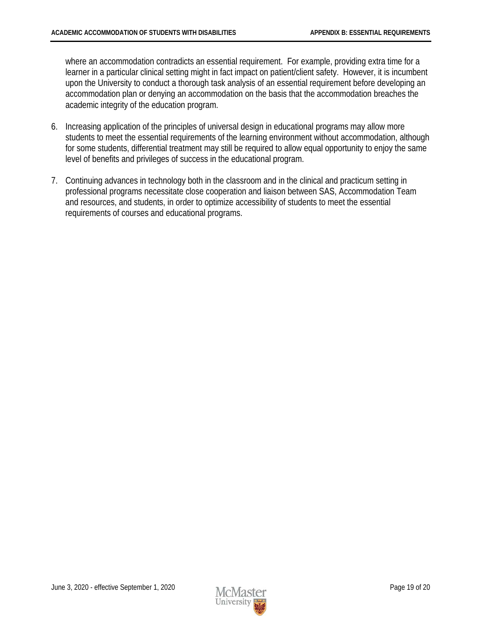where an accommodation contradicts an essential requirement. For example, providing extra time for a learner in a particular clinical setting might in fact impact on patient/client safety. However, it is incumbent upon the University to conduct a thorough task analysis of an essential requirement before developing an accommodation plan or denying an accommodation on the basis that the accommodation breaches the academic integrity of the education program.

- 6. Increasing application of the principles of universal design in educational programs may allow more students to meet the essential requirements of the learning environment without accommodation, although for some students, differential treatment may still be required to allow equal opportunity to enjoy the same level of benefits and privileges of success in the educational program.
- 7. Continuing advances in technology both in the classroom and in the clinical and practicum setting in professional programs necessitate close cooperation and liaison between SAS, Accommodation Team and resources, and students, in order to optimize accessibility of students to meet the essential requirements of courses and educational programs.